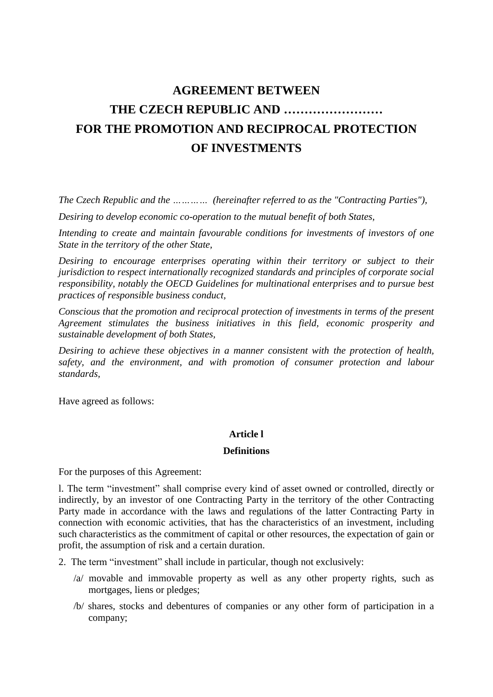# **AGREEMENT BETWEEN THE CZECH REPUBLIC AND …………………… FOR THE PROMOTION AND RECIPROCAL PROTECTION OF INVESTMENTS**

*The Czech Republic and the ………… (hereinafter referred to as the "Contracting Parties"),*

*Desiring to develop economic co-operation to the mutual benefit of both States,*

*Intending to create and maintain favourable conditions for investments of investors of one State in the territory of the other State,*

*Desiring to encourage enterprises operating within their territory or subject to their jurisdiction to respect internationally recognized standards and principles of corporate social responsibility, notably the OECD Guidelines for multinational enterprises and to pursue best practices of responsible business conduct,*

*Conscious that the promotion and reciprocal protection of investments in terms of the present Agreement stimulates the business initiatives in this field, economic prosperity and sustainable development of both States,*

*Desiring to achieve these objectives in a manner consistent with the protection of health, safety, and the environment, and with promotion of consumer protection and labour standards,*

Have agreed as follows:

# **Article l**

#### **Definitions**

For the purposes of this Agreement:

l. The term "investment" shall comprise every kind of asset owned or controlled, directly or indirectly, by an investor of one Contracting Party in the territory of the other Contracting Party made in accordance with the laws and regulations of the latter Contracting Party in connection with economic activities, that has the characteristics of an investment, including such characteristics as the commitment of capital or other resources, the expectation of gain or profit, the assumption of risk and a certain duration.

2. The term "investment" shall include in particular, though not exclusively:

- /a/ movable and immovable property as well as any other property rights, such as mortgages, liens or pledges;
- /b/ shares, stocks and debentures of companies or any other form of participation in a company;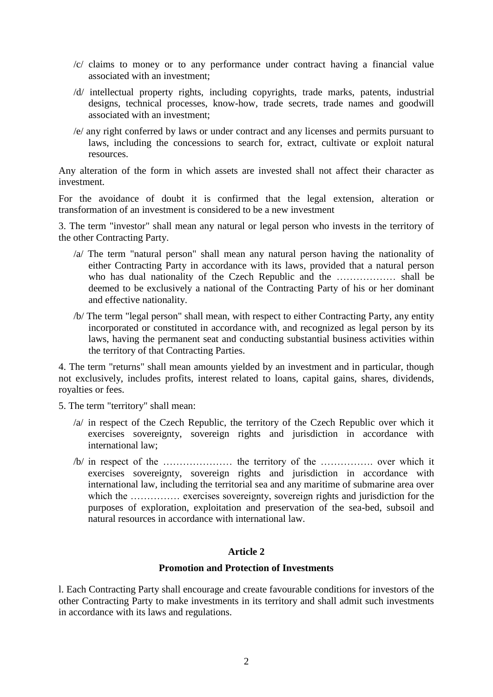- /c/ claims to money or to any performance under contract having a financial value associated with an investment;
- /d/ intellectual property rights, including copyrights, trade marks, patents, industrial designs, technical processes, know-how, trade secrets, trade names and goodwill associated with an investment;
- /e/ any right conferred by laws or under contract and any licenses and permits pursuant to laws, including the concessions to search for, extract, cultivate or exploit natural resources.

Any alteration of the form in which assets are invested shall not affect their character as investment.

For the avoidance of doubt it is confirmed that the legal extension, alteration or transformation of an investment is considered to be a new investment

3. The term "investor" shall mean any natural or legal person who invests in the territory of the other Contracting Party.

- /a/ The term "natural person" shall mean any natural person having the nationality of either Contracting Party in accordance with its laws, provided that a natural person who has dual nationality of the Czech Republic and the ……………… shall be deemed to be exclusively a national of the Contracting Party of his or her dominant and effective nationality.
- /b/ The term "legal person" shall mean, with respect to either Contracting Party, any entity incorporated or constituted in accordance with, and recognized as legal person by its laws, having the permanent seat and conducting substantial business activities within the territory of that Contracting Parties.

4. The term "returns" shall mean amounts yielded by an investment and in particular, though not exclusively, includes profits, interest related to loans, capital gains, shares, dividends, royalties or fees.

5. The term "territory" shall mean:

- /a/ in respect of the Czech Republic, the territory of the Czech Republic over which it exercises sovereignty, sovereign rights and jurisdiction in accordance with international law;
- /b/ in respect of the ………………… the territory of the ……………. over which it exercises sovereignty, sovereign rights and jurisdiction in accordance with international law, including the territorial sea and any maritime of submarine area over which the …………… exercises sovereignty, sovereign rights and jurisdiction for the purposes of exploration, exploitation and preservation of the sea-bed, subsoil and natural resources in accordance with international law.

# **Article 2**

## **Promotion and Protection of Investments**

l. Each Contracting Party shall encourage and create favourable conditions for investors of the other Contracting Party to make investments in its territory and shall admit such investments in accordance with its laws and regulations.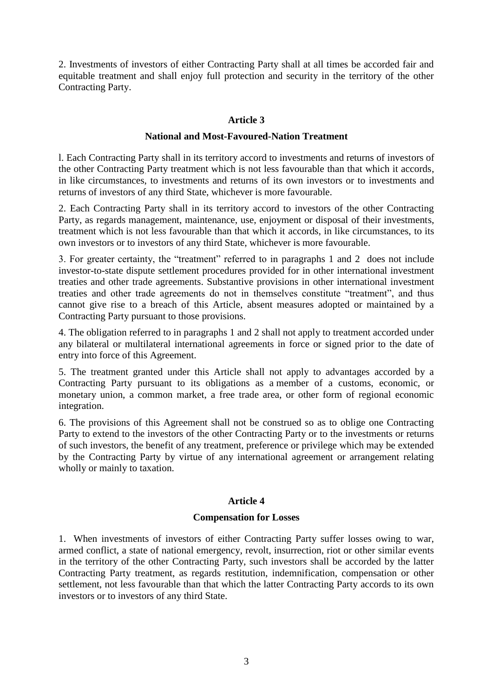2. Investments of investors of either Contracting Party shall at all times be accorded fair and equitable treatment and shall enjoy full protection and security in the territory of the other Contracting Party.

## **Article 3**

## **National and Most-Favoured-Nation Treatment**

l. Each Contracting Party shall in its territory accord to investments and returns of investors of the other Contracting Party treatment which is not less favourable than that which it accords, in like circumstances, to investments and returns of its own investors or to investments and returns of investors of any third State, whichever is more favourable.

2. Each Contracting Party shall in its territory accord to investors of the other Contracting Party, as regards management, maintenance, use, enjoyment or disposal of their investments, treatment which is not less favourable than that which it accords, in like circumstances, to its own investors or to investors of any third State, whichever is more favourable.

3. For greater certainty, the "treatment" referred to in paragraphs 1 and 2 does not include investor-to-state dispute settlement procedures provided for in other international investment treaties and other trade agreements. Substantive provisions in other international investment treaties and other trade agreements do not in themselves constitute "treatment", and thus cannot give rise to a breach of this Article, absent measures adopted or maintained by a Contracting Party pursuant to those provisions.

4. The obligation referred to in paragraphs 1 and 2 shall not apply to treatment accorded under any bilateral or multilateral international agreements in force or signed prior to the date of entry into force of this Agreement.

5. The treatment granted under this Article shall not apply to advantages accorded by a Contracting Party pursuant to its obligations as a member of a customs, economic, or monetary union, a common market, a free trade area, or other form of regional economic integration.

6. The provisions of this Agreement shall not be construed so as to oblige one Contracting Party to extend to the investors of the other Contracting Party or to the investments or returns of such investors, the benefit of any treatment, preference or privilege which may be extended by the Contracting Party by virtue of any international agreement or arrangement relating wholly or mainly to taxation.

# **Article 4**

## **Compensation for Losses**

1. When investments of investors of either Contracting Party suffer losses owing to war, armed conflict, a state of national emergency, revolt, insurrection, riot or other similar events in the territory of the other Contracting Party, such investors shall be accorded by the latter Contracting Party treatment, as regards restitution, indemnification, compensation or other settlement, not less favourable than that which the latter Contracting Party accords to its own investors or to investors of any third State.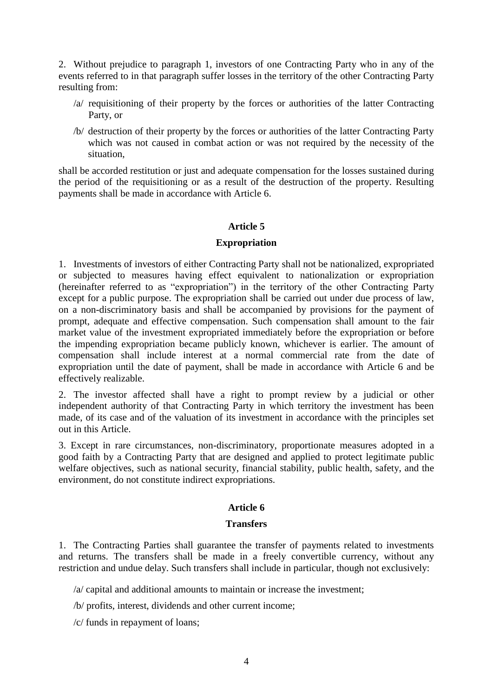2. Without prejudice to paragraph 1, investors of one Contracting Party who in any of the events referred to in that paragraph suffer losses in the territory of the other Contracting Party resulting from:

- /a/ requisitioning of their property by the forces or authorities of the latter Contracting Party, or
- /b/ destruction of their property by the forces or authorities of the latter Contracting Party which was not caused in combat action or was not required by the necessity of the situation,

shall be accorded restitution or just and adequate compensation for the losses sustained during the period of the requisitioning or as a result of the destruction of the property. Resulting payments shall be made in accordance with Article 6.

# **Article 5**

#### **Expropriation**

1. Investments of investors of either Contracting Party shall not be nationalized, expropriated or subjected to measures having effect equivalent to nationalization or expropriation (hereinafter referred to as "expropriation") in the territory of the other Contracting Party except for a public purpose. The expropriation shall be carried out under due process of law, on a non-discriminatory basis and shall be accompanied by provisions for the payment of prompt, adequate and effective compensation. Such compensation shall amount to the fair market value of the investment expropriated immediately before the expropriation or before the impending expropriation became publicly known, whichever is earlier. The amount of compensation shall include interest at a normal commercial rate from the date of expropriation until the date of payment, shall be made in accordance with Article 6 and be effectively realizable.

2. The investor affected shall have a right to prompt review by a judicial or other independent authority of that Contracting Party in which territory the investment has been made, of its case and of the valuation of its investment in accordance with the principles set out in this Article.

3. Except in rare circumstances, non-discriminatory, proportionate measures adopted in a good faith by a Contracting Party that are designed and applied to protect legitimate public welfare objectives, such as national security, financial stability, public health, safety, and the environment, do not constitute indirect expropriations.

## **Article 6**

## **Transfers**

1. The Contracting Parties shall guarantee the transfer of payments related to investments and returns. The transfers shall be made in a freely convertible currency, without any restriction and undue delay. Such transfers shall include in particular, though not exclusively:

/a/ capital and additional amounts to maintain or increase the investment;

/b/ profits, interest, dividends and other current income;

/c/ funds in repayment of loans;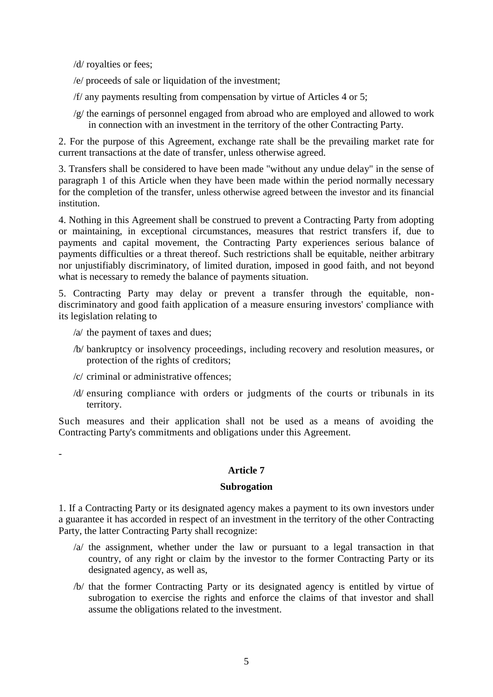/d/ royalties or fees;

/e/ proceeds of sale or liquidation of the investment;

- /f/ any payments resulting from compensation by virtue of Articles 4 or 5;
- /g/ the earnings of personnel engaged from abroad who are employed and allowed to work in connection with an investment in the territory of the other Contracting Party.

2. For the purpose of this Agreement, exchange rate shall be the prevailing market rate for current transactions at the date of transfer, unless otherwise agreed.

3. Transfers shall be considered to have been made "without any undue delay" in the sense of paragraph 1 of this Article when they have been made within the period normally necessary for the completion of the transfer, unless otherwise agreed between the investor and its financial institution.

4. Nothing in this Agreement shall be construed to prevent a Contracting Party from adopting or maintaining, in exceptional circumstances, measures that restrict transfers if, due to payments and capital movement, the Contracting Party experiences serious balance of payments difficulties or a threat thereof. Such restrictions shall be equitable, neither arbitrary nor unjustifiably discriminatory, of limited duration, imposed in good faith, and not beyond what is necessary to remedy the balance of payments situation.

5. Contracting Party may delay or prevent a transfer through the equitable, nondiscriminatory and good faith application of a measure ensuring investors' compliance with its legislation relating to

/a/ the payment of taxes and dues;

-

- /b/ bankruptcy or insolvency proceedings, including recovery and resolution measures, or protection of the rights of creditors;
- /c/ criminal or administrative offences;
- /d/ ensuring compliance with orders or judgments of the courts or tribunals in its territory.

Such measures and their application shall not be used as a means of avoiding the Contracting Party's commitments and obligations under this Agreement.

## **Article 7**

#### **Subrogation**

1. If a Contracting Party or its designated agency makes a payment to its own investors under a guarantee it has accorded in respect of an investment in the territory of the other Contracting Party, the latter Contracting Party shall recognize:

- /a/ the assignment, whether under the law or pursuant to a legal transaction in that country, of any right or claim by the investor to the former Contracting Party or its designated agency, as well as,
- /b/ that the former Contracting Party or its designated agency is entitled by virtue of subrogation to exercise the rights and enforce the claims of that investor and shall assume the obligations related to the investment.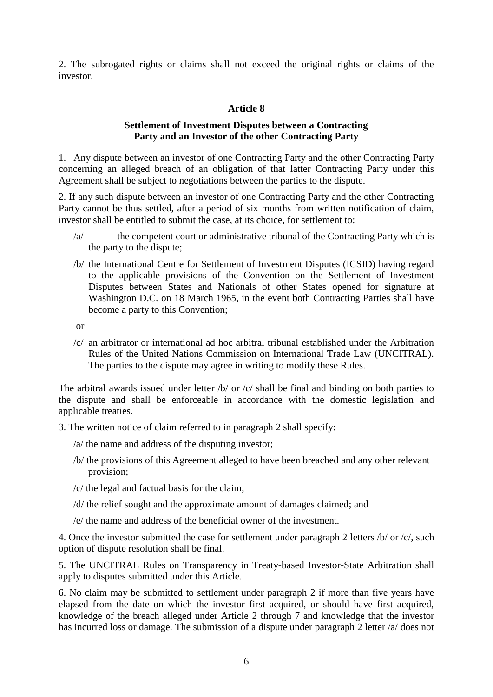2. The subrogated rights or claims shall not exceed the original rights or claims of the investor.

# **Article 8**

## **Settlement of Investment Disputes between a Contracting Party and an Investor of the other Contracting Party**

1. Any dispute between an investor of one Contracting Party and the other Contracting Party concerning an alleged breach of an obligation of that latter Contracting Party under this Agreement shall be subject to negotiations between the parties to the dispute.

2. If any such dispute between an investor of one Contracting Party and the other Contracting Party cannot be thus settled, after a period of six months from written notification of claim, investor shall be entitled to submit the case, at its choice, for settlement to:

- /a/ the competent court or administrative tribunal of the Contracting Party which is the party to the dispute;
- /b/ the International Centre for Settlement of Investment Disputes (ICSID) having regard to the applicable provisions of the Convention on the Settlement of Investment Disputes between States and Nationals of other States opened for signature at Washington D.C. on 18 March 1965, in the event both Contracting Parties shall have become a party to this Convention;

or

/c/ an arbitrator or international ad hoc arbitral tribunal established under the Arbitration Rules of the United Nations Commission on International Trade Law (UNCITRAL). The parties to the dispute may agree in writing to modify these Rules.

The arbitral awards issued under letter /b/ or /c/ shall be final and binding on both parties to the dispute and shall be enforceable in accordance with the domestic legislation and applicable treaties*.*

3. The written notice of claim referred to in paragraph 2 shall specify:

- /a/ the name and address of the disputing investor;
- /b/ the provisions of this Agreement alleged to have been breached and any other relevant provision;
- /c/ the legal and factual basis for the claim;
- /d/ the relief sought and the approximate amount of damages claimed; and
- /e/ the name and address of the beneficial owner of the investment.

4. Once the investor submitted the case for settlement under paragraph 2 letters /b/ or /c/, such option of dispute resolution shall be final.

5. The UNCITRAL Rules on Transparency in Treaty-based Investor-State Arbitration shall apply to disputes submitted under this Article.

6. No claim may be submitted to settlement under paragraph 2 if more than five years have elapsed from the date on which the investor first acquired, or should have first acquired, knowledge of the breach alleged under Article 2 through 7 and knowledge that the investor has incurred loss or damage. The submission of a dispute under paragraph 2 letter /a/ does not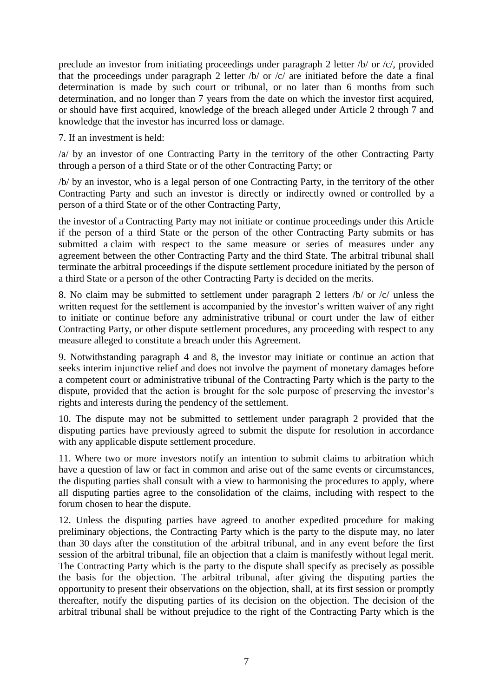preclude an investor from initiating proceedings under paragraph 2 letter /b/ or /c/, provided that the proceedings under paragraph 2 letter  $\sqrt{b}$  or  $\sqrt{c}$  are initiated before the date a final determination is made by such court or tribunal, or no later than 6 months from such determination, and no longer than 7 years from the date on which the investor first acquired, or should have first acquired, knowledge of the breach alleged under Article 2 through 7 and knowledge that the investor has incurred loss or damage.

7. If an investment is held:

/a/ by an investor of one Contracting Party in the territory of the other Contracting Party through a person of a third State or of the other Contracting Party; or

/b/ by an investor, who is a legal person of one Contracting Party, in the territory of the other Contracting Party and such an investor is directly or indirectly owned or controlled by a person of a third State or of the other Contracting Party,

the investor of a Contracting Party may not initiate or continue proceedings under this Article if the person of a third State or the person of the other Contracting Party submits or has submitted a claim with respect to the same measure or series of measures under any agreement between the other Contracting Party and the third State. The arbitral tribunal shall terminate the arbitral proceedings if the dispute settlement procedure initiated by the person of a third State or a person of the other Contracting Party is decided on the merits.

8. No claim may be submitted to settlement under paragraph 2 letters /b/ or /c/ unless the written request for the settlement is accompanied by the investor's written waiver of any right to initiate or continue before any administrative tribunal or court under the law of either Contracting Party, or other dispute settlement procedures, any proceeding with respect to any measure alleged to constitute a breach under this Agreement.

9. Notwithstanding paragraph 4 and 8, the investor may initiate or continue an action that seeks interim injunctive relief and does not involve the payment of monetary damages before a competent court or administrative tribunal of the Contracting Party which is the party to the dispute, provided that the action is brought for the sole purpose of preserving the investor's rights and interests during the pendency of the settlement.

10. The dispute may not be submitted to settlement under paragraph 2 provided that the disputing parties have previously agreed to submit the dispute for resolution in accordance with any applicable dispute settlement procedure.

11. Where two or more investors notify an intention to submit claims to arbitration which have a question of law or fact in common and arise out of the same events or circumstances, the disputing parties shall consult with a view to harmonising the procedures to apply, where all disputing parties agree to the consolidation of the claims, including with respect to the forum chosen to hear the dispute.

12. Unless the disputing parties have agreed to another expedited procedure for making preliminary objections, the Contracting Party which is the party to the dispute may, no later than 30 days after the constitution of the arbitral tribunal, and in any event before the first session of the arbitral tribunal, file an objection that a claim is manifestly without legal merit. The Contracting Party which is the party to the dispute shall specify as precisely as possible the basis for the objection. The arbitral tribunal, after giving the disputing parties the opportunity to present their observations on the objection, shall, at its first session or promptly thereafter, notify the disputing parties of its decision on the objection. The decision of the arbitral tribunal shall be without prejudice to the right of the Contracting Party which is the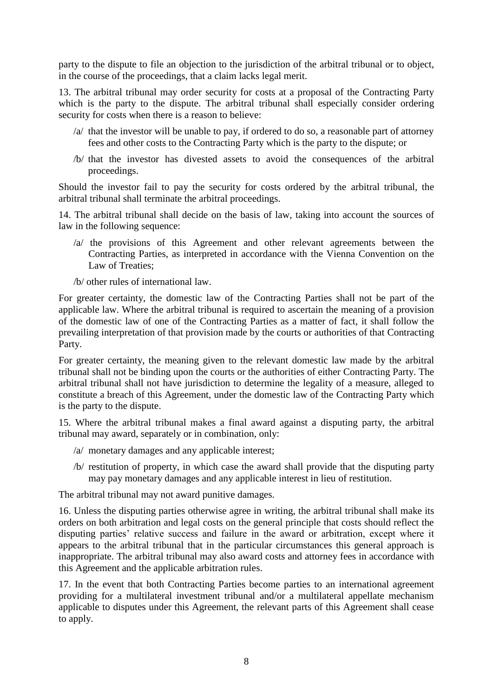party to the dispute to file an objection to the jurisdiction of the arbitral tribunal or to object, in the course of the proceedings, that a claim lacks legal merit.

13. The arbitral tribunal may order security for costs at a proposal of the Contracting Party which is the party to the dispute. The arbitral tribunal shall especially consider ordering security for costs when there is a reason to believe:

- /a/ that the investor will be unable to pay, if ordered to do so, a reasonable part of attorney fees and other costs to the Contracting Party which is the party to the dispute; or
- /b/ that the investor has divested assets to avoid the consequences of the arbitral proceedings.

Should the investor fail to pay the security for costs ordered by the arbitral tribunal, the arbitral tribunal shall terminate the arbitral proceedings.

14. The arbitral tribunal shall decide on the basis of law, taking into account the sources of law in the following sequence:

- /a/ the provisions of this Agreement and other relevant agreements between the Contracting Parties, as interpreted in accordance with the Vienna Convention on the Law of Treaties;
- /b/ other rules of international law.

For greater certainty, the domestic law of the Contracting Parties shall not be part of the applicable law. Where the arbitral tribunal is required to ascertain the meaning of a provision of the domestic law of one of the Contracting Parties as a matter of fact, it shall follow the prevailing interpretation of that provision made by the courts or authorities of that Contracting Party.

For greater certainty, the meaning given to the relevant domestic law made by the arbitral tribunal shall not be binding upon the courts or the authorities of either Contracting Party. The arbitral tribunal shall not have jurisdiction to determine the legality of a measure, alleged to constitute a breach of this Agreement, under the domestic law of the Contracting Party which is the party to the dispute.

15. Where the arbitral tribunal makes a final award against a disputing party, the arbitral tribunal may award, separately or in combination, only:

- /a/ monetary damages and any applicable interest;
- /b/ restitution of property, in which case the award shall provide that the disputing party may pay monetary damages and any applicable interest in lieu of restitution.

The arbitral tribunal may not award punitive damages.

16. Unless the disputing parties otherwise agree in writing, the arbitral tribunal shall make its orders on both arbitration and legal costs on the general principle that costs should reflect the disputing parties' relative success and failure in the award or arbitration, except where it appears to the arbitral tribunal that in the particular circumstances this general approach is inappropriate. The arbitral tribunal may also award costs and attorney fees in accordance with this Agreement and the applicable arbitration rules.

17. In the event that both Contracting Parties become parties to an international agreement providing for a multilateral investment tribunal and/or a multilateral appellate mechanism applicable to disputes under this Agreement, the relevant parts of this Agreement shall cease to apply.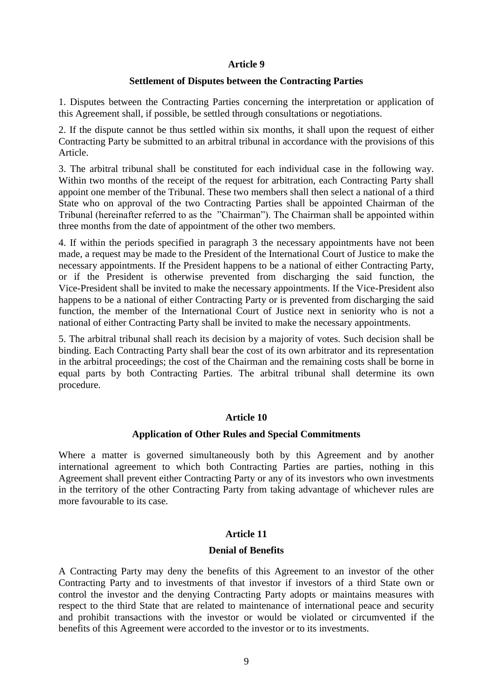#### **Article 9**

#### **Settlement of Disputes between the Contracting Parties**

1. Disputes between the Contracting Parties concerning the interpretation or application of this Agreement shall, if possible, be settled through consultations or negotiations.

2. If the dispute cannot be thus settled within six months, it shall upon the request of either Contracting Party be submitted to an arbitral tribunal in accordance with the provisions of this Article.

3. The arbitral tribunal shall be constituted for each individual case in the following way. Within two months of the receipt of the request for arbitration, each Contracting Party shall appoint one member of the Tribunal. These two members shall then select a national of a third State who on approval of the two Contracting Parties shall be appointed Chairman of the Tribunal (hereinafter referred to as the "Chairman"). The Chairman shall be appointed within three months from the date of appointment of the other two members.

4. If within the periods specified in paragraph 3 the necessary appointments have not been made, a request may be made to the President of the International Court of Justice to make the necessary appointments. If the President happens to be a national of either Contracting Party, or if the President is otherwise prevented from discharging the said function, the Vice-President shall be invited to make the necessary appointments. If the Vice-President also happens to be a national of either Contracting Party or is prevented from discharging the said function, the member of the International Court of Justice next in seniority who is not a national of either Contracting Party shall be invited to make the necessary appointments.

5. The arbitral tribunal shall reach its decision by a majority of votes. Such decision shall be binding. Each Contracting Party shall bear the cost of its own arbitrator and its representation in the arbitral proceedings; the cost of the Chairman and the remaining costs shall be borne in equal parts by both Contracting Parties. The arbitral tribunal shall determine its own procedure.

## **Article 10**

#### **Application of Other Rules and Special Commitments**

Where a matter is governed simultaneously both by this Agreement and by another international agreement to which both Contracting Parties are parties, nothing in this Agreement shall prevent either Contracting Party or any of its investors who own investments in the territory of the other Contracting Party from taking advantage of whichever rules are more favourable to its case.

#### **Article 11**

#### **Denial of Benefits**

A Contracting Party may deny the benefits of this Agreement to an investor of the other Contracting Party and to investments of that investor if investors of a third State own or control the investor and the denying Contracting Party adopts or maintains measures with respect to the third State that are related to maintenance of international peace and security and prohibit transactions with the investor or would be violated or circumvented if the benefits of this Agreement were accorded to the investor or to its investments.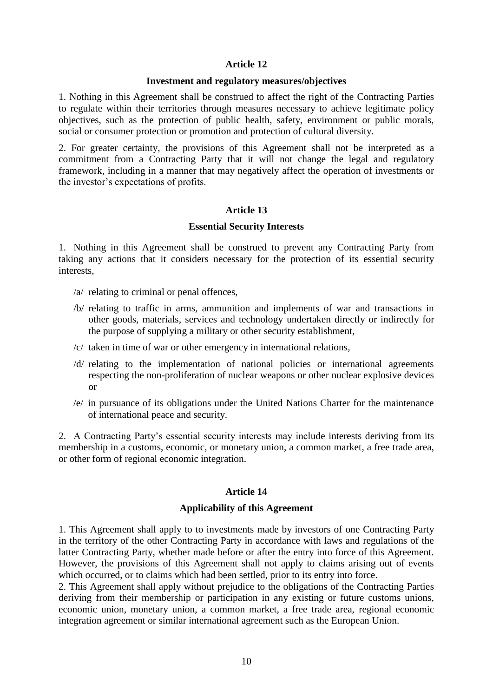### **Article 12**

#### **Investment and regulatory measures/objectives**

1. Nothing in this Agreement shall be construed to affect the right of the Contracting Parties to regulate within their territories through measures necessary to achieve legitimate policy objectives, such as the protection of public health, safety, environment or public morals, social or consumer protection or promotion and protection of cultural diversity.

2. For greater certainty, the provisions of this Agreement shall not be interpreted as a commitment from a Contracting Party that it will not change the legal and regulatory framework, including in a manner that may negatively affect the operation of investments or the investor's expectations of profits.

#### **Article 13**

#### **Essential Security Interests**

1. Nothing in this Agreement shall be construed to prevent any Contracting Party from taking any actions that it considers necessary for the protection of its essential security interests,

- /a/ relating to criminal or penal offences,
- /b/ relating to traffic in arms, ammunition and implements of war and transactions in other goods, materials, services and technology undertaken directly or indirectly for the purpose of supplying a military or other security establishment,
- /c/ taken in time of war or other emergency in international relations,
- /d/ relating to the implementation of national policies or international agreements respecting the non-proliferation of nuclear weapons or other nuclear explosive devices or
- /e/ in pursuance of its obligations under the United Nations Charter for the maintenance of international peace and security.

2. A Contracting Party's essential security interests may include interests deriving from its membership in a customs, economic, or monetary union, a common market, a free trade area, or other form of regional economic integration.

## **Article 14**

#### **Applicability of this Agreement**

1. This Agreement shall apply to to investments made by investors of one Contracting Party in the territory of the other Contracting Party in accordance with laws and regulations of the latter Contracting Party, whether made before or after the entry into force of this Agreement. However, the provisions of this Agreement shall not apply to claims arising out of events which occurred, or to claims which had been settled, prior to its entry into force.

2. This Agreement shall apply without prejudice to the obligations of the Contracting Parties deriving from their membership or participation in any existing or future customs unions, economic union, monetary union, a common market, a free trade area, regional economic integration agreement or similar international agreement such as the European Union.